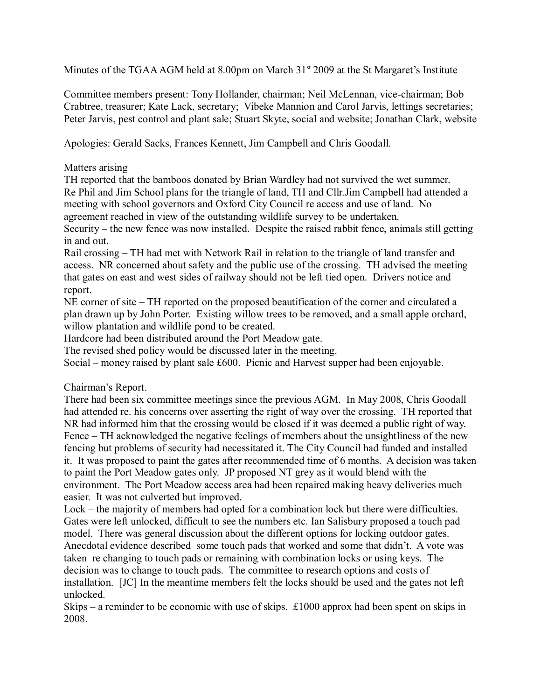Minutes of the TGAA AGM held at 8.00pm on March  $31<sup>st</sup>$  2009 at the St Margaret's Institute

Committee members present: Tony Hollander, chairman; Neil McLennan, vice-chairman; Bob Crabtree, treasurer; Kate Lack, secretary; Vibeke Mannion and Carol Jarvis, lettings secretaries; Peter Jarvis, pest control and plant sale; Stuart Skyte, social and website; Jonathan Clark, website

Apologies: Gerald Sacks, Frances Kennett, Jim Campbell and Chris Goodall.

### Matters arising

TH reported that the bamboos donated by Brian Wardley had not survived the wet summer. Re Phil and Jim School plans for the triangle of land, TH and Cllr.Jim Campbell had attended a meeting with school governors and Oxford City Council re access and use of land. No agreement reached in view of the outstanding wildlife survey to be undertaken.

Security  $-$  the new fence was now installed. Despite the raised rabbit fence, animals still getting in and out.

Rail crossing – TH had met with Network Rail in relation to the triangle of land transfer and access. NR concerned about safety and the public use of the crossing. TH advised the meeting that gates on east and west sides of railway should not be left tied open. Drivers notice and report.

NE corner of site – TH reported on the proposed beautification of the corner and circulated a plan drawn up by John Porter. Existing willow trees to be removed, and a small apple orchard, willow plantation and wildlife pond to be created.

Hardcore had been distributed around the Port Meadow gate.

The revised shed policy would be discussed later in the meeting.

Social – money raised by plant sale £600. Picnic and Harvest supper had been enjoyable.

# Chairman's Report.

There had been six committee meetings since the previous AGM. In May 2008, Chris Goodall had attended re. his concerns over asserting the right of way over the crossing. TH reported that NR had informed him that the crossing would be closed if it was deemed a public right of way. Fence – TH acknowledged the negative feelings of members about the unsightliness of the new fencing but problems of security had necessitated it. The City Council had funded and installed it. It was proposed to paint the gates after recommended time of 6 months. A decision was taken to paint the Port Meadow gates only. JP proposed NT grey as it would blend with the environment. The Port Meadow access area had been repaired making heavy deliveries much easier. It was not culverted but improved.

Lock – the majority of members had opted for a combination lock but there were difficulties. Gates were left unlocked, difficult to see the numbers etc. Ian Salisbury proposed a touch pad model. There was general discussion about the different options for locking outdoor gates. Anecdotal evidence described some touch pads that worked and some that didn't. A vote was taken re changing to touch pads or remaining with combination locks or using keys. The decision was to change to touch pads. The committee to research options and costs of installation. [JC] In the meantime members felt the locks should be used and the gates not left unlocked.

Skips  $-$  a reminder to be economic with use of skips. £1000 approx had been spent on skips in 2008.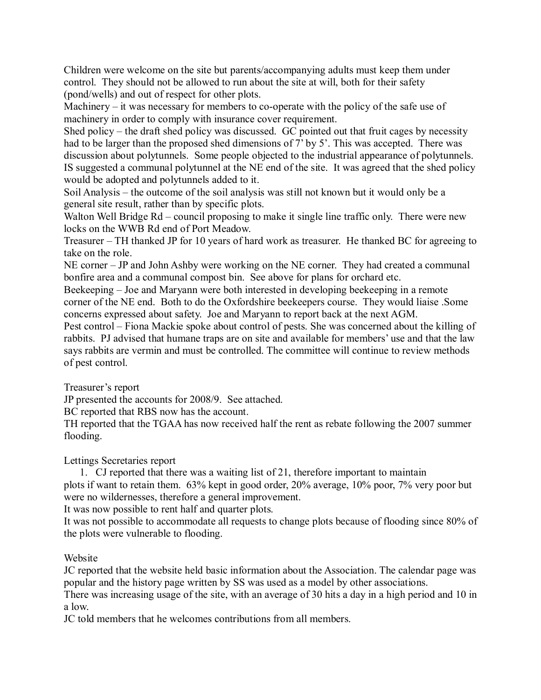Children were welcome on the site but parents/accompanying adults must keep them under control. They should not be allowed to run about the site at will, both for their safety (pond/wells) and out of respect for other plots.

Machinery  $-$  it was necessary for members to co-operate with the policy of the safe use of machinery in order to comply with insurance cover requirement.

Shed policy – the draft shed policy was discussed. GC pointed out that fruit cages by necessity had to be larger than the proposed shed dimensions of 7' by 5'. This was accepted. There was discussion about polytunnels. Some people objected to the industrial appearance of polytunnels. IS suggested a communal polytunnel at the NE end of the site. It was agreed that the shed policy would be adopted and polytunnels added to it.

Soil Analysis – the outcome of the soil analysis was still not known but it would only be a general site result, rather than by specific plots.

Walton Well Bridge Rd – council proposing to make it single line traffic only. There were new locks on the WWB Rd end of Port Meadow.

Treasurer – TH thanked JP for 10 years of hard work as treasurer. He thanked BC for agreeing to take on the role.

NE corner – JP and John Ashby were working on the NE corner. They had created a communal bonfire area and a communal compost bin. See above for plans for orchard etc.

Beekeeping – Joe and Maryann were both interested in developing beekeeping in a remote corner of the NE end. Both to do the Oxfordshire beekeepers course. They would liaise .Some concerns expressed about safety. Joe and Maryann to report back at the next AGM.

Pest control – Fiona Mackie spoke about control of pests. She was concerned about the killing of rabbits. PJ advised that humane traps are on site and available for members' use and that the law says rabbits are vermin and must be controlled. The committee will continue to review methods of pest control.

Treasurer's report

JP presented the accounts for 2008/9. See attached.

BC reported that RBS now has the account.

TH reported that the TGAA has now received half the rent as rebate following the 2007 summer flooding.

Lettings Secretaries report

 1. CJ reported that there was a waiting list of 21, therefore important to maintain plots if want to retain them. 63% kept in good order, 20% average, 10% poor, 7% very poor but were no wildernesses, therefore a general improvement.

It was now possible to rent half and quarter plots.

It was not possible to accommodate all requests to change plots because of flooding since 80% of the plots were vulnerable to flooding.

# Website

JC reported that the website held basic information about the Association. The calendar page was popular and the history page written by SS was used as a model by other associations.

There was increasing usage of the site, with an average of 30 hits a day in a high period and 10 in a low.

JC told members that he welcomes contributions from all members.